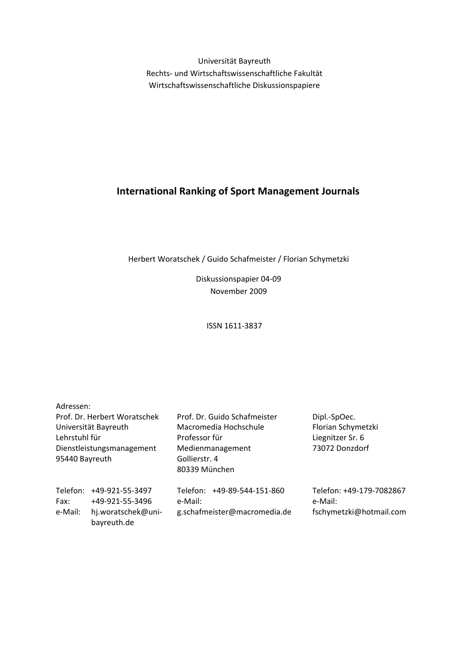Universität Bayreuth Rechts‐ und Wirtschaftswissenschaftliche Fakultät Wirtschaftswissenschaftliche Diskussionspapiere

## **International Ranking of Sport Management Journals**

Herbert Woratschek / Guido Schafmeister / Florian Schymetzki

Diskussionspapier 04‐09 November 2009

ISSN 1611‐3837

| Adressen:                                                                                                            |                                                                         |                                                                                                                              |                                                                          |
|----------------------------------------------------------------------------------------------------------------------|-------------------------------------------------------------------------|------------------------------------------------------------------------------------------------------------------------------|--------------------------------------------------------------------------|
| Prof. Dr. Herbert Woratschek<br>Universität Bayreuth<br>Lehrstuhl für<br>Dienstleistungsmanagement<br>95440 Bayreuth |                                                                         | Prof. Dr. Guido Schafmeister<br>Macromedia Hochschule<br>Professor für<br>Medienmanagement<br>Gollierstr. 4<br>80339 München | Dipl.-SpOec.<br>Florian Schymetzki<br>Liegnitzer Sr. 6<br>73072 Donzdorf |
| Telefon:<br>Fax:<br>e-Mail:                                                                                          | +49-921-55-3497<br>+49-921-55-3496<br>hj.woratschek@uni-<br>bayreuth.de | Telefon: +49-89-544-151-860<br>e-Mail:<br>g.schafmeister@macromedia.de                                                       | Telefon: +49-179-7082867<br>e-Mail:<br>fschymetzki@hotmail.com           |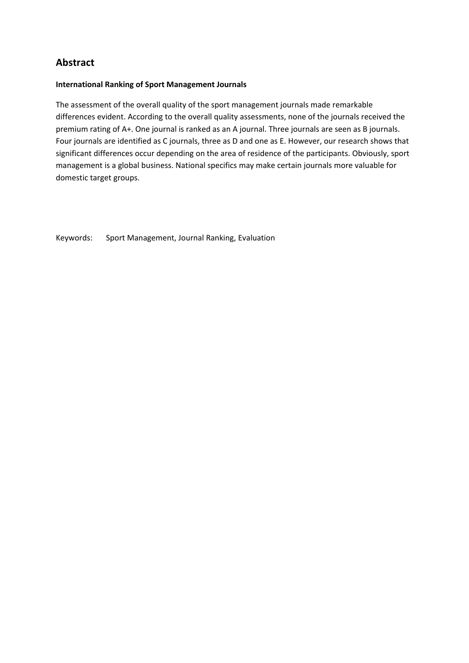### **Abstract**

#### **International Ranking of Sport Management Journals**

The assessment of the overall quality of the sport management journals made remarkable differences evident. According to the overall quality assessments, none of the journals received the premium rating of A+. One journal is ranked as an A journal. Three journals are seen as B journals. Four journals are identified as C journals, three as D and one as E. However, our research shows that significant differences occur depending on the area of residence of the participants. Obviously, sport management is a global business. National specifics may make certain journals more valuable for domestic target groups.

Keywords: Sport Management, Journal Ranking, Evaluation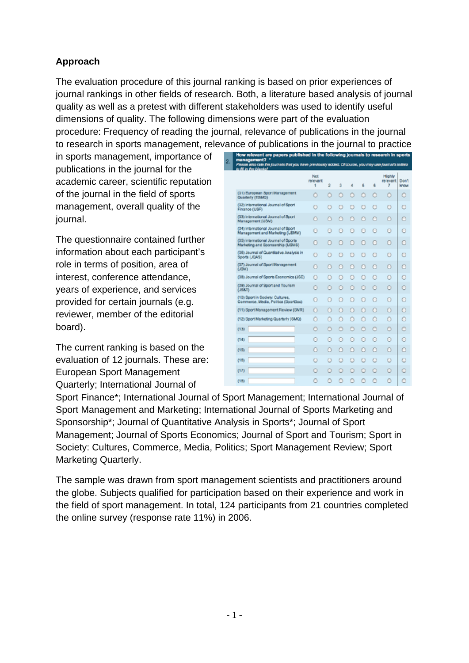# **Approach**

The evaluation procedure of this journal ranking is based on prior experiences of journal rankings in other fields of research. Both, a literature based analysis of journal quality as well as a pretest with different stakeholders was used to identify useful dimensions of quality. The following dimensions were part of the evaluation procedure: Frequency of reading the journal, relevance of publications in the journal to research in sports management, relevance of publications in the journal to practice

in sports management, importance of publications in the journal for the academic career, scientific reputation of the journal in the field of sports management, overall quality of the journal.

The questionnaire contained further information about each participant's role in terms of position, area of interest, conference attendance, years of experience, and services provided for certain journals (e.g. reviewer, member of the editorial board).

The current ranking is based on the evaluation of 12 journals. These are: European Sport Management Quarterly; International Journal of

| How relevant are papers published in the following journals to research in sports<br>management? *<br>Please also rate the journals that you have previously added. Of course, you may use journal's initials<br>to fill in the blanks! |                        |   |         |   |   |         |                         |               |
|-----------------------------------------------------------------------------------------------------------------------------------------------------------------------------------------------------------------------------------------|------------------------|---|---------|---|---|---------|-------------------------|---------------|
|                                                                                                                                                                                                                                         | Not<br>relevant<br>1   | 2 | 3       | 4 | 6 | 6       | Highly<br>relevant<br>7 | Don't<br>know |
| (01) European Sport Management<br>Quarterly (ESM2)                                                                                                                                                                                      | $\cup$                 | Θ | $\circ$ | D | O | $\circ$ | $\circ$                 | $\circ$       |
| (02) International Journal of Sport<br>Finance (USF)                                                                                                                                                                                    |                        |   |         |   |   |         | Θ                       |               |
| (03) International Journal of Sport<br>Management (USM)                                                                                                                                                                                 | o                      |   |         | o |   |         | o                       | n             |
| (04) International Journal of Sport<br>Management and Marketing (USMM)                                                                                                                                                                  | Θ                      |   |         | Θ |   |         | Θ                       | Θ             |
| (05) International Journal of Sports<br>Marketing and Sponsorship (USMS)                                                                                                                                                                | O                      |   |         | ۳ |   |         | O                       | O             |
| (05) Journal of Quantitative Analysis in<br>Sports (JQAS)                                                                                                                                                                               |                        |   |         |   |   |         |                         | e             |
| (07) Journal of Sport Management<br>(J3M)                                                                                                                                                                                               | Ο                      |   | n       | n |   | Ω       | O                       | O             |
| (08) Journal of Sports Economics (JSE)                                                                                                                                                                                                  | Ο                      |   |         | o |   |         | O                       | O             |
| (09) Journal of Sport and Tourism<br>$($ JS&T)                                                                                                                                                                                          | o                      |   |         |   |   |         | Θ                       | o             |
| (10) Sport in Society: Cultures,<br>Commerce, Media, Politics (SportScc)                                                                                                                                                                | Ο                      |   |         |   |   |         | Θ                       | o             |
| (11) Sport Management Review (SMR)                                                                                                                                                                                                      | $\left( \cdot \right)$ |   | o       | Ω | о |         | $\Omega$                | $\Omega$      |
| (12) Sport Marketing Quarterly (SMQ)                                                                                                                                                                                                    | Θ                      |   |         |   |   |         | Θ                       | o             |
| (130)                                                                                                                                                                                                                                   | Ο                      |   |         |   |   |         | Ω                       | ٥             |
| (14)                                                                                                                                                                                                                                    | Ο                      |   |         |   |   |         | Θ                       | o             |
| (15)                                                                                                                                                                                                                                    | Θ                      |   |         |   |   |         | Θ                       | Θ             |
| (16)                                                                                                                                                                                                                                    | Θ                      |   | n       |   |   | O       | $\Theta$                | O             |
| (17)                                                                                                                                                                                                                                    | O                      |   |         |   |   |         | O                       | O             |
| (10)                                                                                                                                                                                                                                    |                        |   |         |   |   |         |                         |               |

Sport Finance\*; International Journal of Sport Management; International Journal of Sport Management and Marketing; International Journal of Sports Marketing and Sponsorship\*; Journal of Quantitative Analysis in Sports\*; Journal of Sport Management; Journal of Sports Economics; Journal of Sport and Tourism; Sport in Society: Cultures, Commerce, Media, Politics; Sport Management Review; Sport Marketing Quarterly.

The sample was drawn from sport management scientists and practitioners around the globe. Subjects qualified for participation based on their experience and work in the field of sport management. In total, 124 participants from 21 countries completed the online survey (response rate 11%) in 2006.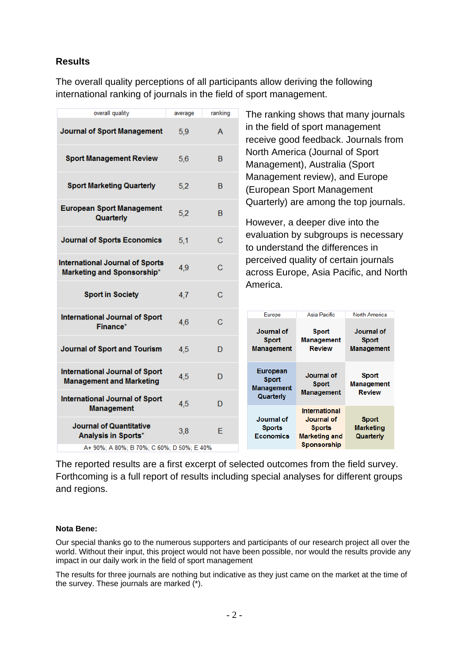### **Results**

The overall quality perceptions of all participants allow deriving the following international ranking of journals in the field of sport management.

| overall quality                                                                                                         | average | ranking        | The ranking shows that many journals                                            |                                                                                                   |                                               |  |  |
|-------------------------------------------------------------------------------------------------------------------------|---------|----------------|---------------------------------------------------------------------------------|---------------------------------------------------------------------------------------------------|-----------------------------------------------|--|--|
| <b>Journal of Sport Management</b>                                                                                      | 5,9     | A              | in the field of sport management<br>receive good feedback. Journals from        |                                                                                                   |                                               |  |  |
| <b>Sport Management Review</b>                                                                                          | 5,6     | B              | North America (Journal of Sport<br>Management), Australia (Sport                |                                                                                                   |                                               |  |  |
| <b>Sport Marketing Quarterly</b>                                                                                        | 5.2     | <sub>B</sub>   | Management review), and Europe<br>(European Sport Management                    |                                                                                                   |                                               |  |  |
| <b>European Sport Management</b><br>Quarterly                                                                           | 5,2     | B              | Quarterly) are among the top journals.<br>However, a deeper dive into the       |                                                                                                   |                                               |  |  |
| <b>Journal of Sports Economics</b>                                                                                      | 5.1     | $\overline{C}$ | evaluation by subgroups is necessary<br>to understand the differences in        |                                                                                                   |                                               |  |  |
| <b>International Journal of Sports</b><br><b>Marketing and Sponsorship*</b>                                             | 4,9     | $\mathbf C$    | perceived quality of certain journals<br>across Europe, Asia Pacific, and North |                                                                                                   |                                               |  |  |
| <b>Sport in Society</b>                                                                                                 | 4,7     | $\mathbf C$    | America.                                                                        |                                                                                                   |                                               |  |  |
| <b>International Journal of Sport</b><br>Finance*                                                                       | 4,6     | $\mathbf C$    | Europe<br>Journal of                                                            | Asia Pacific<br><b>Sport</b>                                                                      | <b>North America</b><br>Journal of            |  |  |
|                                                                                                                         |         |                |                                                                                 |                                                                                                   |                                               |  |  |
| <b>Journal of Sport and Tourism</b>                                                                                     | 4,5     | D              | <b>Sport</b><br><b>Management</b>                                               | <b>Management</b><br><b>Review</b>                                                                | <b>Sport</b><br><b>Management</b>             |  |  |
| <b>International Journal of Sport</b><br><b>Management and Marketing</b>                                                | 4,5     | D              | <b>European</b><br><b>Sport</b><br><b>Management</b>                            | <b>Journal of</b><br><b>Sport</b>                                                                 | <b>Sport</b><br><b>Management</b>             |  |  |
| <b>International Journal of Sport</b>                                                                                   | 4,5     | D              | Quarterly                                                                       | <b>Management</b>                                                                                 | <b>Review</b>                                 |  |  |
| <b>Management</b><br><b>Journal of Quantitative</b><br>Analysis in Sports*<br>A+ 90%; A 80%; B 70%; C 60%; D 50%; E 40% | 3,8     | E              | Journal of<br><b>Sports</b><br><b>Economics</b>                                 | <b>International</b><br>Journal of<br><b>Sports</b><br><b>Marketing and</b><br><b>Sponsorship</b> | <b>Sport</b><br><b>Marketing</b><br>Quarterly |  |  |

The reported results are a first excerpt of selected outcomes from the field survey. Forthcoming is a full report of results including special analyses for different groups and regions.

#### **Nota Bene:**

Our special thanks go to the numerous supporters and participants of our research project all over the world. Without their input, this project would not have been possible, nor would the results provide any impact in our daily work in the field of sport management

The results for three journals are nothing but indicative as they just came on the market at the time of the survey. These journals are marked  $\binom{x}{k}$ .